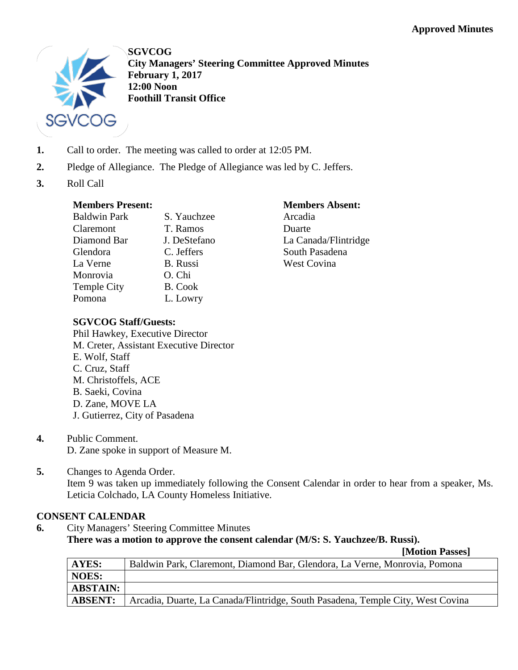

**SGVCOG City Managers' Steering Committee Approved Minutes February 1, 2017 12:00 Noon Foothill Transit Office**

- **1.** Call to order. The meeting was called to order at 12:05 PM.
- **2.** Pledge of Allegiance. The Pledge of Allegiance was led by C. Jeffers.
- **3.** Roll Call

## **Members Present:**

| S. Yauchzee     |
|-----------------|
| T. Ramos        |
| J. DeStefano    |
| C. Jeffers      |
| <b>B.</b> Russi |
| O. Chi          |
| B. Cook         |
| L. Lowry        |
|                 |

## **Members Absent:**

Arcadia Duarte La Canada/Flintridge South Pasadena West Covina

# **SGVCOG Staff/Guests:**

- Phil Hawkey, Executive Director M. Creter, Assistant Executive Director E. Wolf, Staff C. Cruz, Staff M. Christoffels, ACE B. Saeki, Covina D. Zane, MOVE LA J. Gutierrez, City of Pasadena
- **4.** Public Comment. D. Zane spoke in support of Measure M.
- **5.** Changes to Agenda Order. Item 9 was taken up immediately following the Consent Calendar in order to hear from a speaker, Ms. Leticia Colchado, LA County Homeless Initiative.

# **CONSENT CALENDAR**

**6.** City Managers' Steering Committee Minutes **There was a motion to approve the consent calendar (M/S: S. Yauchzee/B. Russi). [Motion Passes]**

|                 | $14.20$ and $14.40$ and $0.00$                                                  |
|-----------------|---------------------------------------------------------------------------------|
| AYES:           | Baldwin Park, Claremont, Diamond Bar, Glendora, La Verne, Monrovia, Pomona      |
| <b>NOES:</b>    |                                                                                 |
| <b>ABSTAIN:</b> |                                                                                 |
| <b>ABSENT:</b>  | Arcadia, Duarte, La Canada/Flintridge, South Pasadena, Temple City, West Covina |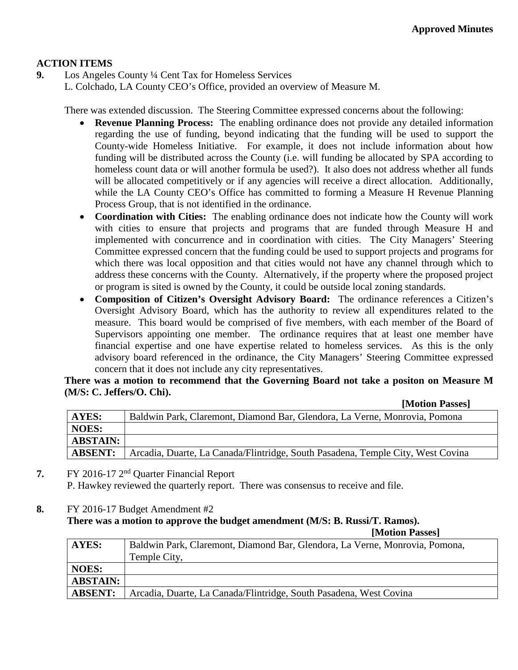# **ACTION ITEMS**

**9.** Los Angeles County ¼ Cent Tax for Homeless Services

L. Colchado, LA County CEO's Office, provided an overview of Measure M.

There was extended discussion. The Steering Committee expressed concerns about the following:

- **Revenue Planning Process:** The enabling ordinance does not provide any detailed information regarding the use of funding, beyond indicating that the funding will be used to support the County-wide Homeless Initiative. For example, it does not include information about how funding will be distributed across the County (i.e. will funding be allocated by SPA according to homeless count data or will another formula be used?). It also does not address whether all funds will be allocated competitively or if any agencies will receive a direct allocation. Additionally, while the LA County CEO's Office has committed to forming a Measure H Revenue Planning Process Group, that is not identified in the ordinance.
- **Coordination with Cities:** The enabling ordinance does not indicate how the County will work with cities to ensure that projects and programs that are funded through Measure H and implemented with concurrence and in coordination with cities. The City Managers' Steering Committee expressed concern that the funding could be used to support projects and programs for which there was local opposition and that cities would not have any channel through which to address these concerns with the County. Alternatively, if the property where the proposed project or program is sited is owned by the County, it could be outside local zoning standards.
- **Composition of Citizen's Oversight Advisory Board:** The ordinance references a Citizen's Oversight Advisory Board, which has the authority to review all expenditures related to the measure. This board would be comprised of five members, with each member of the Board of Supervisors appointing one member. The ordinance requires that at least one member have financial expertise and one have expertise related to homeless services. As this is the only advisory board referenced in the ordinance, the City Managers' Steering Committee expressed concern that it does not include any city representatives.

**There was a motion to recommend that the Governing Board not take a positon on Measure M (M/S: C. Jeffers/O. Chi).**

| [Motion Passes] |  |
|-----------------|--|
|-----------------|--|

| <b>AYES:</b>    | Baldwin Park, Claremont, Diamond Bar, Glendora, La Verne, Monrovia, Pomona      |
|-----------------|---------------------------------------------------------------------------------|
| <b>NOES:</b>    |                                                                                 |
| <b>ABSTAIN:</b> |                                                                                 |
| <b>ABSENT:</b>  | Arcadia, Duarte, La Canada/Flintridge, South Pasadena, Temple City, West Covina |

- **7.** FY 2016-17 2nd Quarter Financial Report P. Hawkey reviewed the quarterly report. There was consensus to receive and file.
- **8.** FY 2016-17 Budget Amendment #2

#### **There was a motion to approve the budget amendment (M/S: B. Russi/T. Ramos).**

**[Motion Passes]**

| <b>AYES:</b>    | Baldwin Park, Claremont, Diamond Bar, Glendora, La Verne, Monrovia, Pomona, |
|-----------------|-----------------------------------------------------------------------------|
|                 | Temple City,                                                                |
| <b>NOES:</b>    |                                                                             |
| <b>ABSTAIN:</b> |                                                                             |
| <b>ABSENT:</b>  | Arcadia, Duarte, La Canada/Flintridge, South Pasadena, West Covina          |